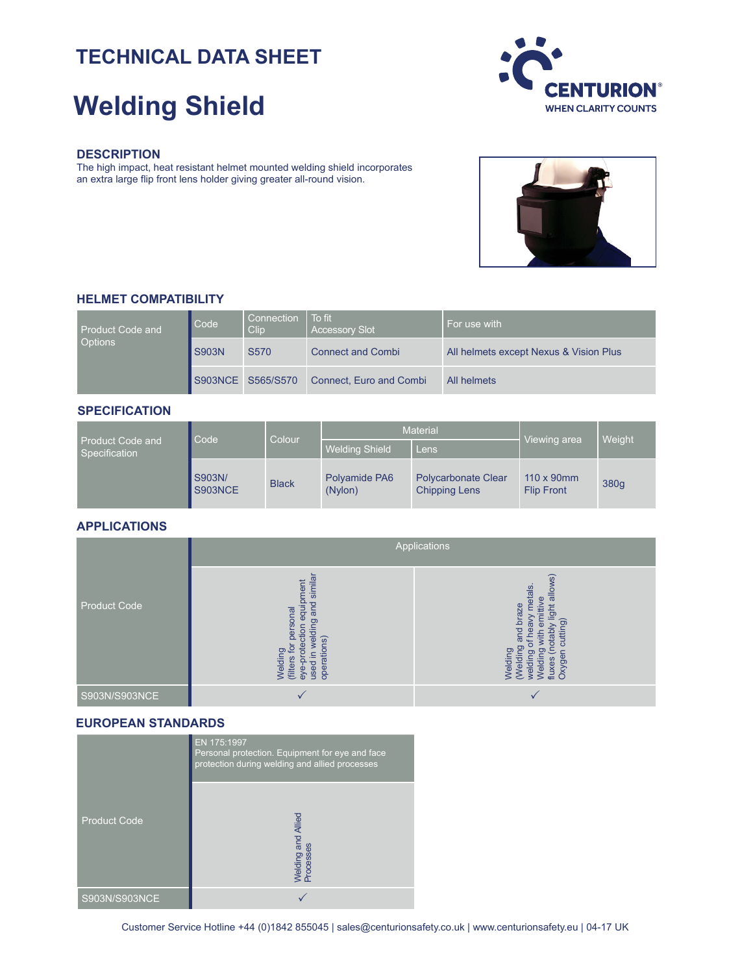# **TECHNICAL DATA SHEET**

# **Welding Shield**



#### **DESCRIPTION**

The high impact, heat resistant helmet mounted welding shield incorporates an extra large flip front lens holder giving greater all-round vision.



#### **HELMET COMPATIBILITY**

| <b>Product Code and</b><br><b>Options</b> | Code         | Connection<br>Clip | To fit<br><b>Accessory Slot</b> | For use with                           |
|-------------------------------------------|--------------|--------------------|---------------------------------|----------------------------------------|
|                                           | <b>S903N</b> | S570               | <b>Connect and Combi</b>        | All helmets except Nexus & Vision Plus |
|                                           |              | S903NCE S565/S570  | Connect, Euro and Combi         | All helmets                            |

## **SPECIFICATION**

|                                   | Code              | Colour       | <b>Material</b>          |                                                    | Viewing area                            | Weight |
|-----------------------------------|-------------------|--------------|--------------------------|----------------------------------------------------|-----------------------------------------|--------|
| Product Code and<br>Specification |                   |              | <b>Welding Shield</b>    | Lens                                               |                                         |        |
|                                   | S903N/<br>S903NCE | <b>Black</b> | Polyamide PA6<br>(Nylon) | <b>Polycarbonate Clear</b><br><b>Chipping Lens</b> | $110 \times 90$ mm<br><b>Flip Front</b> | 380g   |

#### **APPLICATIONS**

|                     | Applications                                                                                                                                       |                                                                                                                                                                                         |  |  |
|---------------------|----------------------------------------------------------------------------------------------------------------------------------------------------|-----------------------------------------------------------------------------------------------------------------------------------------------------------------------------------------|--|--|
| <b>Product Code</b> | similar<br>ment<br>equipi<br>and<br>rsonal<br>welding<br>ction<br>per<br>Welding<br>(filters for pe<br>eye-protecti<br>used in weld<br>operations) | $\widehat{\mathfrak{G}}$<br>allow:<br>metals.<br>ittive<br>braze<br>ight<br>cutting)<br>lea∧<br>otably<br>bu<br>ౚ<br>ਨ<br>fluxes (n<br>Oxygen<br>Welding<br>(Welding<br>welding<br>Weld |  |  |
| S903N/S903NCE       |                                                                                                                                                    |                                                                                                                                                                                         |  |  |

# **EUROPEAN STANDARDS**

|                     | EN 175:1997<br>Personal protection. Equipment for eye and face<br>protection during welding and allied processes |  |  |
|---------------------|------------------------------------------------------------------------------------------------------------------|--|--|
| <b>Product Code</b> | <b>Nelding and Allied</b><br>Processes                                                                           |  |  |
| S903N/S903NCE       |                                                                                                                  |  |  |